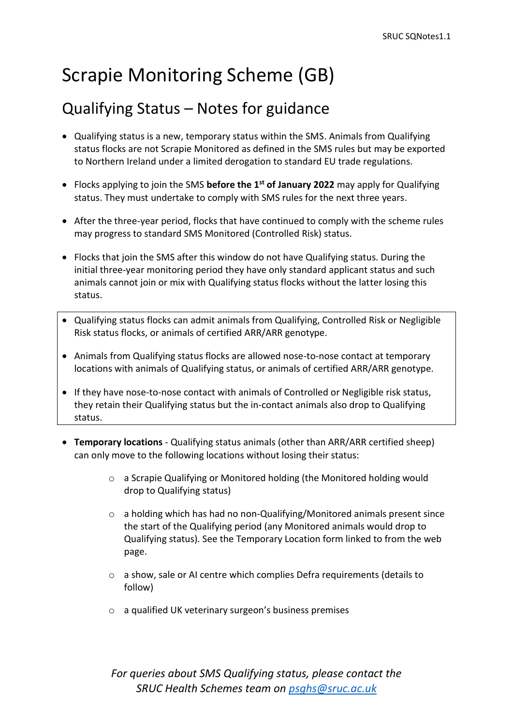## Scrapie Monitoring Scheme (GB)

## Qualifying Status – Notes for guidance

- Qualifying status is a new, temporary status within the SMS. Animals from Qualifying status flocks are not Scrapie Monitored as defined in the SMS rules but may be exported to Northern Ireland under a limited derogation to standard EU trade regulations.
- Flocks applying to join the SMS **before the 1st of January 2022** may apply for Qualifying status. They must undertake to comply with SMS rules for the next three years.
- After the three-year period, flocks that have continued to comply with the scheme rules may progress to standard SMS Monitored (Controlled Risk) status.
- Flocks that join the SMS after this window do not have Qualifying status. During the initial three-year monitoring period they have only standard applicant status and such animals cannot join or mix with Qualifying status flocks without the latter losing this status.
- Qualifying status flocks can admit animals from Qualifying, Controlled Risk or Negligible Risk status flocks, or animals of certified ARR/ARR genotype.
- Animals from Qualifying status flocks are allowed nose-to-nose contact at temporary locations with animals of Qualifying status, or animals of certified ARR/ARR genotype.
- If they have nose-to-nose contact with animals of Controlled or Negligible risk status, they retain their Qualifying status but the in-contact animals also drop to Qualifying status.
- **Temporary locations** Qualifying status animals (other than ARR/ARR certified sheep) can only move to the following locations without losing their status:
	- o a Scrapie Qualifying or Monitored holding (the Monitored holding would drop to Qualifying status)
	- o a holding which has had no non-Qualifying/Monitored animals present since the start of the Qualifying period (any Monitored animals would drop to Qualifying status). See the Temporary Location form linked to from the web page.
	- o a show, sale or AI centre which complies Defra requirements (details to follow)
	- o a qualified UK veterinary surgeon's business premises

*For queries about SMS Qualifying status, please contact the SRUC Health Schemes team on [psghs@sruc.ac.uk](mailto:psghs@sruc.ac.uk)*